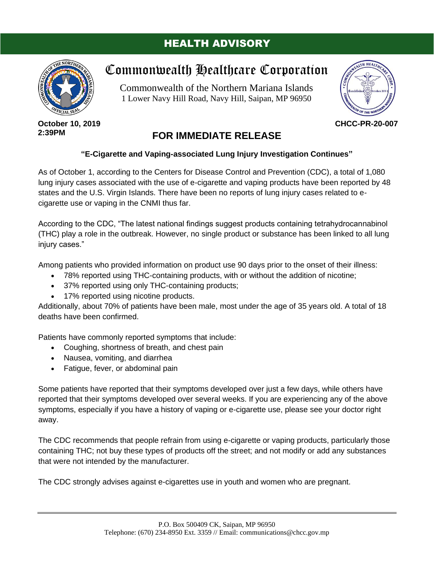## HEALTH ADVISORY



**October 10, 2019 2:39PM**

## Commonwealth Healthcare Corporation

Commonwealth of the Northern Mariana Islands 1 Lower Navy Hill Road, Navy Hill, Saipan, MP 96950



**CHCC-PR-20-007**

## **FOR IMMEDIATE RELEASE**

## **"E-Cigarette and Vaping-associated Lung Injury Investigation Continues"**

As of October 1, according to the Centers for Disease Control and Prevention (CDC), a total of 1,080 lung injury cases associated with the use of e-cigarette and vaping products have been reported by 48 states and the U.S. Virgin Islands. There have been no reports of lung injury cases related to ecigarette use or vaping in the CNMI thus far.

According to the CDC, "The latest national findings suggest products containing tetrahydrocannabinol (THC) play a role in the outbreak. However, no single product or substance has been linked to all lung injury cases."

Among patients who provided information on product use 90 days prior to the onset of their illness:

- 78% reported using THC-containing products, with or without the addition of nicotine;
- 37% reported using only THC-containing products;
- 17% reported using nicotine products.

Additionally, about 70% of patients have been male, most under the age of 35 years old. A total of 18 deaths have been confirmed.

Patients have commonly reported symptoms that include:

- Coughing, shortness of breath, and chest pain
- Nausea, vomiting, and diarrhea
- Fatigue, fever, or abdominal pain

Some patients have reported that their symptoms developed over just a few days, while others have reported that their symptoms developed over several weeks. If you are experiencing any of the above symptoms, especially if you have a history of vaping or e-cigarette use, please see your doctor right away.

The CDC recommends that people refrain from using e-cigarette or vaping products, particularly those containing THC; not buy these types of products off the street; and not modify or add any substances that were not intended by the manufacturer.

The CDC strongly advises against e-cigarettes use in youth and women who are pregnant.